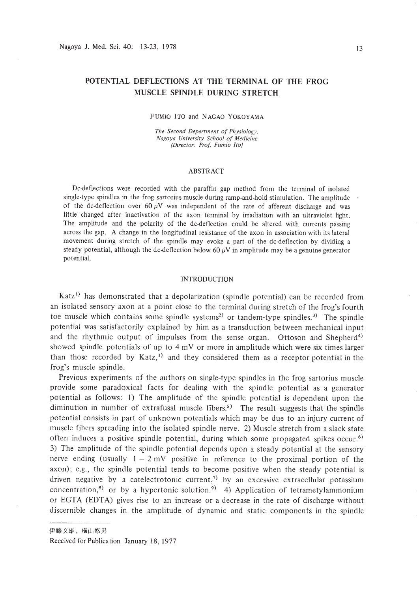# **POTENTIAL DEFLECTIONS AT THE TERMINAL OF THE FROG MUSCLE SPINDLE DURING STRETCH**

### FUMIO ITO and NAGAO YOKOYAMA

*The Second Department of Physiology, Nagoya University School of Medicine (Director: Prof. Fumio Ito)*

### ABSTRACT

Dc-deflections were recorded with the paraffin gap method from the terminal of isolated single.type spindles in the frog sartorius muscle during ramp-and-hold stimulation. The amplitude of the dc-deflection over  $60 \mu V$  was independent of the rate of afferent discharge and was little changed after inactivation of the axon terminal by irradiation with an ultraviolet light. The amplitude and the polarity of the dc-deflection could be altered with currents passing across the gap. A change in the longitudinal resistance of the axon in association with its lateral movement during stretch of the spindle may evoke a part of the dc-deflection by dividing a steady potential, although the dc-deflection below 60  $\mu$ V in amplitude may be a genuine generator potential.

## INTRODUCTION

Katz<sup>1)</sup> has demonstrated that a depolarization (spindle potential) can be recorded from an isolated sensory axon at a point close to the terminal during stretch of the frog's fourth toe muscle which contains some spindle systems<sup>2)</sup> or tandem-type spindles.<sup>3)</sup> The spindle potential was satisfactorily explained by him as a transduction between mechanical input and the rhythmic output of impulses from the sense organ. Ottoson and Shepherd<sup>4)</sup> showed spindle potentials of up to  $4 \text{ mV}$  or more in amplitude which were six times larger than those recorded by  $Katz<sub>1</sub>$ <sup>1</sup> and they considered them as a receptor potential in the frog's muscle spindle.

Previous experiments of the authors on single-type spindles in the frog sartorius muscle provide some paradoxical facts for dealing with the spindle potential as a generator potential as follows: I) The amplitude of the spindle potential is dependent upon the diminution in number of extrafusal muscle fibers.<sup>5)</sup> The result suggests that the spindle potential consists in part of unknown potentials which may be due to an injury current of muscle fibers spreading into the isolated spindle nerve. 2) Muscle stretch from a slack state often induces a positive spindle potential, during which some propagated spikes occur.<sup>6)</sup> 3) The amplitude of the spindle potential depends upon a steady potential at the sensory nerve ending (usually  $1 - 2$  mV positive in reference to the proximal portion of the axon); e.g., the spindle potential tends to become positive when the steady potential is driven negative by a catelectrotonic current,<sup>7)</sup> by an excessive extracellular potassium concentration,<sup>8</sup> or by a hypertonic solution.<sup>9</sup> 4) Application of tetrametylammonium or **EGTA (EDT**A) gives rise to an increase or a decrease in the rate of discharge without discernible changes in the amplitude of dynamic and static components in the spindle

伊藤文雄, 横山悠男

Received for Publication January 18, 1977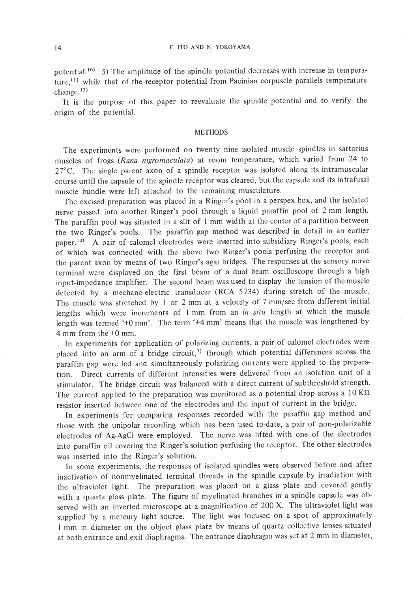potential.<sup>10)</sup> 5) The amplitude of the spindle potential decreases with increase in temperature,<sup>11)</sup> while that of the receptor potential from Pacinian corpuscle parallels temperature change. $12)$ 

It is the purpose of this paper to reevaluate the spindle potential and to verify the origin of the potential.

### METHODS

The experiments were performed on twenty nine isolated muscle spindles in sartorius muscles of frogs (Rana nigromaculata) at room temperature, which varied from 24 to 27°C. The single parent axon of a spindle receptor was isolated along its intramuscular course until the capsule of the spindle receptor was cleared, but the capsule and its intrafusal muscle bundle were left attached to the remaining musculature.

The excised preparation was placed in a Ringer's pool in a perspex box, and the isolated nerve passed into another Ringer's pool through a liquid paraffin pool of 2 mm length. The paraffin pool was situated in a slit of I mm width at the center of a partition between the two Ringer's pools. The paraffin gap method was described in detail in an earlier paper.<sup>13)</sup> A pair of calomel electrodes were inserted into subsidiary Ringer's pools, each of which was connected with the above two Ringer's pools perfusing the receptor and the parent axon by means of two Ringer's agar bridges. The responses at the sensory nerve terminal were displayed on the first beam of a dual beam oscilloscope through a high input-impedance amplifier. The second beam was used to display the tension of the muscle detected by a mechano-electric transducer (RCA 5734) during stretch of the muscle. The muscle was stretched by 1 or 2 mm at a velocity of 7 mm/sec from different initial lengths which were increments of 1 mm from an in situ length at which the muscle length was termed '+0 mm'. The term '+4 mm' means that the muscle was lengthened by 4 mm from the +0 mm.

**In** experiments for application of polarizing currents, a pair of calomel electrodes were placed into an arm of a bridge circuit,<sup>7)</sup> through which potential differences across the paraffin gap were led and simultaneously polarizing currents were applied to the preparation. Direct currents of different intensities were delivered from an isolation unit of a stimulator. The bridge circuit was balanced with a direct current of subthreshold strength. The current applied to the preparation was monitored as a potential drop across a  $10 \text{ K}\Omega$ resistor inserted between one of the electrodes and the input of current in the bridge.

**In** experiments for comparing responses recorded with the paraffin gap method and those with the unipolar recording which has been used to-date, a pair of non-polarizable electrodes of Ag-AgCI were employed. The nerve was lifted with one of the electrodes into paraffin oil covering the Ringer's solution perfusing the receptor. The other electrodes was inserted into the Ringer's solution.

In some experiments, the responses of isolated spindles were observed before and after inactivation of nonmyelinated terminal threads in the spindle capsule by irradiation with the ultraviolet light. The preparation was placed on a glass plate and covered gently with a quartz glass plate. The figure of myelinated branches in a spindle capsule was observed with an inverted microscope at a magnification of 200 X. The ultraviolet light was supplied by a mercury light source. The light was focused on a spot of approximately I mm in diameter on the object glass plate by means of quartz collective lenses situated at both entrance and exit diaphragms. The entrance diaphragm was set at 2 mm in diameter,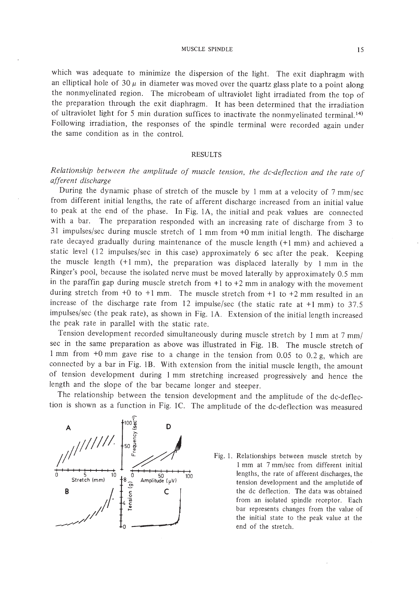MUSCLE SPINDLE 15

which was adequate to minimize the dispersion of the light. The exit diaphragm with an elliptical hole of  $30 \mu$  in diameter was moved over the quartz glass plate to a point along the nonmyelinated region. The microbeam of ultraviolet light irradiated from the top of the preparation through the exit diaphragm. It has been determined that the irradiation of ultraviolet light for 5 min duration suffices to inactivate the nonmyelinated terminal. 14) Following irradiation, the responses of the spindle terminal were recorded again under the same condition as in the control.

## RESULTS

# *Relationship between the amplitude of muscle tension, the dc-deflection and the rate of afferent discharge*

During the dynamic phase of stretch of the muscle by I mm at a velocity of 7 mm/sec from different initial lengths, the rate of afferent discharge increased from an initial value to peak at the end of the phase. In Fig. IA, the initial and peak values are connected with a bar. The preparation responded with an increasing rate of discharge from 3 to 31 impulses/sec during muscle stretch of I mm from +0 mm initial length. The discharge rate decayed gradually during maintenance of the muscle length (+1 mm) and achieved a static level (12 impulses/sec in this case) approximately 6 sec after the peak. Keeping the muscle length  $(+1 \text{ mm})$ , the preparation was displaced laterally by 1 mm in the Ringer's pool, because the isolated nerve must be moved laterally by approximately 0.5 mm in the paraffin gap during muscle stretch from  $+1$  to  $+2$  mm in analogy with the movement during stretch from  $+0$  to  $+1$  mm. The muscle stretch from  $+1$  to  $+2$  mm resulted in an increase of the discharge rate from 12 impulse/sec (the static rate at +1 mm) to 37.5 impulses/sec (the peak rate), as shown in Fig. IA. Extension of the initial length increased the peak rate in parallel with the static rate.

Tension development recorded simultaneously during muscle stretch by I mm at 7 mm/ sec in the same preparation as above was illustrated in Fig. lB. The muscle stretch of I mm from +0 mm gave rise to a change in the tension from 0.05 to 0.2 g, which are connected by a bar in Fig. lB. With extension from the initial muscle length, the amount of tension development during I mm stretching increased progressively and hence the length and the slope of the bar became longer and steeper.

The relationship between the tension development and the amplitude of the dc-deflection is shown as a function in Fig. IC. The amplitude of the dc-deflection was measured



Fig. I. Relationships between muscle stretch by 1 mm at 7 mm/sec from different initial lengths, the rate of afferent discharges, the tension development and the amplutide of the dc def1ection. The data was obtained from an isolated spindle receptor. Each bar represents changes from the value of the initial state to the peak value at the end of the stretch.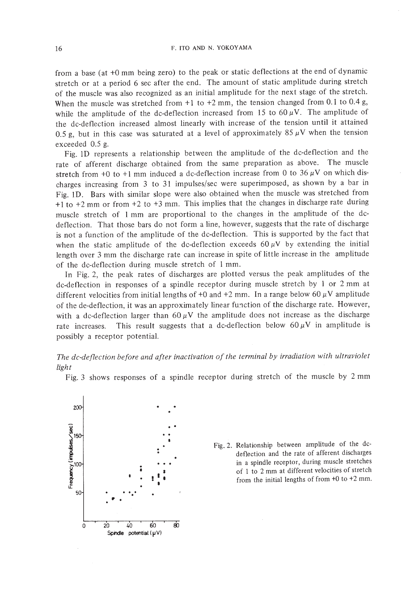from a base (at +0 mm being zero) to the peak or static deflections at the end of dynamic stretch or at a period 6 sec after the end. The amount of static amplitude during stretch of the muscle was also recognized as an initial amplitude for the next stage of the stretch. When the muscle was stretched from  $+1$  to  $+2$  mm, the tension changed from 0.1 to 0.4 g, while the amplitude of the dc-deflection increased from 15 to  $60 \mu V$ . The amplitude of the dc-deflection increased almost linearly with increase of the tension until it attained 0.5 g, but in this case was saturated at a level of approximately 85  $\mu$ V when the tension exceeded 0.5 g.

Fig. ID represents a relationship between the amplitude of the dc-deflection and the rate of afferent discharge obtained from the same preparation as above. The muscle stretch from +0 to +1 mm induced a dc-deflection increase from 0 to 36  $\mu$ V on which discharges increasing from 3 to 31 impulses/sec were superimposed, as shown by a bar in Fig. ID. Bars with similar slope were also obtained when the muscle was stretched from +1 to +2 mm or from +2 to +3 mm. This implies that the changes in discharge rate during muscle stretch of 1 mm are proportional to the changes in the amplitude of the dcdeflection. That those bars do not form a line, however, suggests that the rate of discharge is not a function of the amplitude of the dc-deflection. This is supported by the fact that when the static amplitude of the dc-deflection exceeds 60  $\mu$ V by extending the initial length over 3 mm the discharge rate can increase in spite of little increase in the amplitude of the dc-deflection during muscle stretch of 1 mm.

In Fig. 2, the peak rates of discharges are plotted versus the peak amplitudes of the dc-deflection in responses of a spindle receptor during muscle stretch by 1 or 2 mm at different velocities from initial lengths of +0 and +2 mm. In a range below 60  $\mu$ V amplitude of the de-deflection, it was an approximately linear function of the discharge rate. However, with a dc-deflection larger than  $60 \mu V$  the amplitude does not increase as the discharge rate increases. This result suggests that a dc-deflection below  $60 \mu V$  in amplitude is possibly a receptor potential.

*The dc-deflection before and after inactivation of the terminal by irradiation with ultraviolet light*

Fig. 3 shows responses of a spindle receptor during stretch of the muscle by 2 mm



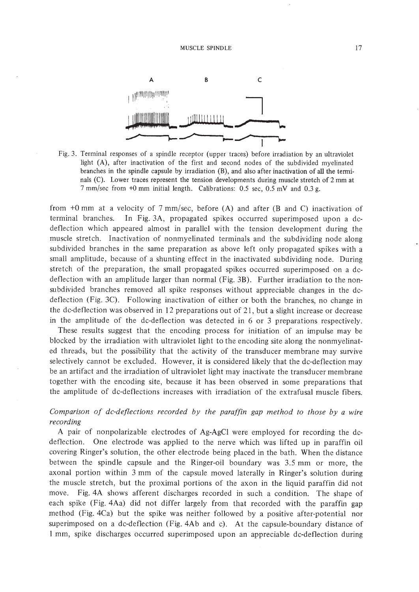

Fig. 3. Terminal responses of a spindle receptor (upper traces) before irradiation by an ultraviolet light (A), after inactivation of the first and second nodes of the subdivided myelinated branches in the spindle capsule by irradiation (B), and also after inactivation of all the termi· nals (C). Lower traces represent the tension developments during muscle stretch of 2 mm at 7 mm/sec from +0 mm initial length. Calibrations: 0.5 sec, 0.5 mY and 0.3 g.

from +0 mm at a velocity of 7 mm/sec, before (A) and after (B and C) inactivation of terminal branches. In Fig. 3A, propagated spikes occurred superimposed upon a dcdeflection which appeared almost in parallel with the tension development during the muscle stretch. Inactivation of nonmyelinated terminals and the subdividing node along subdivided branches in the same preparation as above left only propagated spikes with a small amplitude, because of a shunting effect in the inactivated subdividing node. During stretch of the preparation, the small propagated spikes occurred superimposed on a dcdeflection with an amplitude larger than normal (Fig. 3B). Further irradiation to the nonsubdivided branches removed all spike responses without appreciable changes in the dcdeflection (Fig. 3C). Following inactivation of either or both the branches, no change in the dc-deflection was observed in 12 preparations out of 21, but a slight increase or decrease in the amplitude of the dc-deflection was detected in 6 or 3 preparations respectively.

These results suggest that the encoding process for initiation of an impulse may be blocked by the irradiation with ultraviolet light to the encoding site along the nonmyelinated threads, but the possibility that the activity of the transducer membrane may survive selectively cannot be excluded. However, it is considered likely that the dc-deflection may be an artifact and the irradiation of ultraviolet light may inactivate the transducer membrane together with the encoding site, because it has been observed in some preparations that the amplitude of dc-deflections increases with irradiation of the extrafusal muscle fibers.

## *Comparison of dc-deflections recorded by the paraffin gap method to those by a wire recording*

A pair of nonpolarizable electrodes of Ag-AgCl were employed for recording the dcdeflection. One electrode was applied to the nerve which was lifted up in paraffin oil covering Ringer's solution, the other electrode being placed in the bath. When the distance between the spindle capsule and the Ringer-oil boundary was 3.5 mm or more, the axonal portion within 3 mm of the capsule moved laterally in Ringer's solution during the muscle stretch, but the proximal portions of the axon in the liquid paraffin did not move. Fig.4A shows afferent discharges recorded in such a condition. The shape of each spike (Fig. 4Aa) did not differ largely from that recorded with the paraffin gap method (Fig. 4Ca) but the spike was neither followed by a positive after-potential nor superimposed on a dc-deflection (Fig. 4Ab and c). At the capsule-boundary distance of 1 mm, spike discharges occurred superimposed upon an appreciable dc-deflection during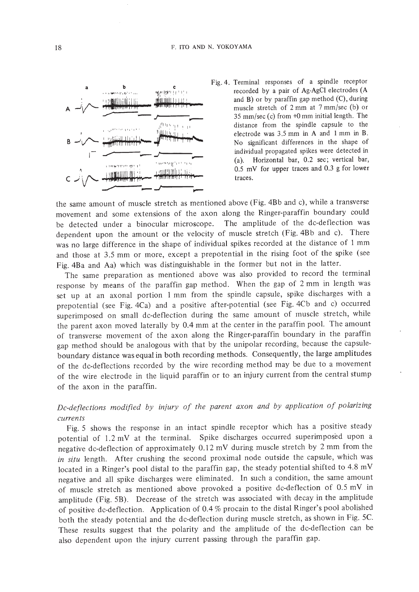



the same amount of muscle stretch as mentioned above (Fig. 4Bb and c), while a transverse movement and some extensions of the axon along the Ringer-paraffin boundary could be detected under a binocular microscope. The amplitude of the dc-deflection was dependent upon the amount or the velocity of muscle stretch (Fig. 4Bb and c). There was no large difference in the shape of individual spikes recorded at the distance of 1 mm and those at 3.5 mm or more, except a prepotential in the rising foot of the spike (see Fig. 4Ba and Aa) which was distinguishable in the former but not in the latter.

The same preparation as mentioned above was also provided to record the terminal response by means of the paraffin gap method. When the gap of 2 mm in length was set up at an axonal portion 1 mm from the spindle capsule, spike discharges with a prepotential (see Fig. 4Ca) and a positive after-potential (see Fig. 4Cb and c) occurred superimposed on small dc-deflection during the same amount of muscle stretch, while the parent axon moved laterally by 0.4 mm at the center in the paraffin pool. The amount of transverse movement of the axon along the Ringer-paraffin boundary in the paraffin gap method should be analogous with that by the unipolar recording, because the capsuleboundary distance was equal in both recording methods. Consequently, the large amplitudes of the dc-deflections recorded by the wire recording method may be due to a movement of the wire electrode in the liquid paraffin or to an injury current from the central stump of the axon in the paraffin.

# *Dc-deflections modified by injury of the parent axon and by application of polarizing currents*

Fig. 5 shows the response in an intact spindle receptor which has a positive steady potential of 1.2 mY at the terminal. Spike discharges occurred superimposed upon a negative dc-deflection of approximately 0.12 mY during muscle stretch by 2 mm from the *in situ* length. After crushing the second proximal node outside the capsule, which was located in a Ringer's pool distal to the paraffin gap, the steady potential shifted to 4.8 mY negative and all spike discharges were eliminated. In such a condition, the same amount of muscle stretch as mentioned above provoked a positive dc-deflection of 0.5 mY in amplitude (Fig. 5B). Decrease of the stretch was associated with decay in the amplitude of positive dc-deflection. Application of 0.4 % procain to the distal Ringer's pool abolished both the steady potential and the dc-deflection during muscle stretch, as shown in Fig. 5C. These results suggest that the polarity and the amplitude of the dc-deflection can be also dependent upon the injury current passing through the paraffin gap.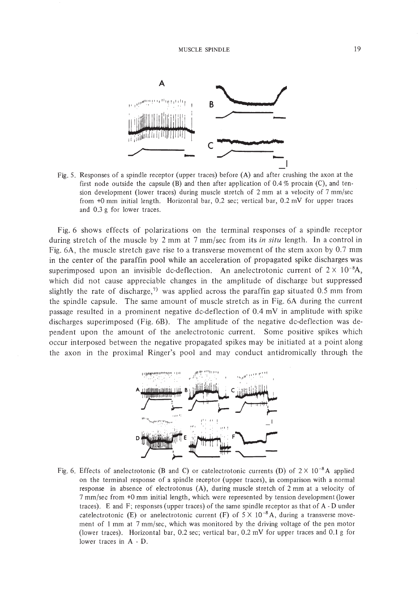

Fig. 5. Responses of a spindle receptor (upper traces) before (A) and after crushing the axon at the first node outside the capsule  $(B)$  and then after application of 0.4 % procain  $(C)$ , and tension development (lower traces) during muscle stretch of 2 mm at a velocity of 7 mm/sec from +0 mm initial length. Horizontal bar, 0.2 sec; vertical bar, 0.2 mY for upper traces and 0.3 g for lower traces.

Fig. 6 shows effects of polarizations on the terminal responses of a spindle receptor during stretch of the muscle by 2 mm at 7 mm/sec from its *in situ* length. In a control in Fig. 6A, the muscle stretch gave rise to a transverse movement of the stem axon by 0.7 mm in the center of the paraffin pool while an acceleration of propagated spike discharges was superimposed upon an invisible dc-deflection. An anelectrotonic current of  $2 \times 10^{-8}$ A, which did not cause appreciable changes in the amplitude of discharge but suppressed slightly the rate of discharge,<sup>7)</sup> was applied across the paraffin gap situated 0.5 mm from the spindle capsule. The same amount of muscle stretch as in Fig. 6A during the current passage resulted in a prominent negative dc-deflection of 0.4 mV in amplitude with spike discharges superimposed (Fig. 6B). The amplitude of the negative dc-deflection was dependent upon the amount of the anelectrotonic current. Some positive spikes which occur interposed between the negative propagated spikes may be initiated at a point along the axon in the proximal Ringer's pool and may conduct antidromically through the



Fig. 6. Effects of anelectrotonic (B and C) or catelectrotonic currents (D) of  $2 \times 10^{-8}$  A applied on the terminal response of a spindle receptor (upper traces), in comparison with a normal response in absence of electrotonus (A), during muscle stretch of 2 mm at a velocity of 7 mm/sec from +0 mm initial length, which were represented by tension development (lower traces). E and F; responses (upper traces) of the same spindle receptor as that of A - D under catelectrotonic (E) or anelectrotonic current (F) of  $5 \times 10^{-8}$  A, during a transverse movement of I mm at 7 mm/sec, which was monitored by the driving voltage of the pen motor (lower traces). Horizontal bar, 0.2 sec; vertical bar, 0.2 mY for upper traces and 0.1 g for lower traces in A-D.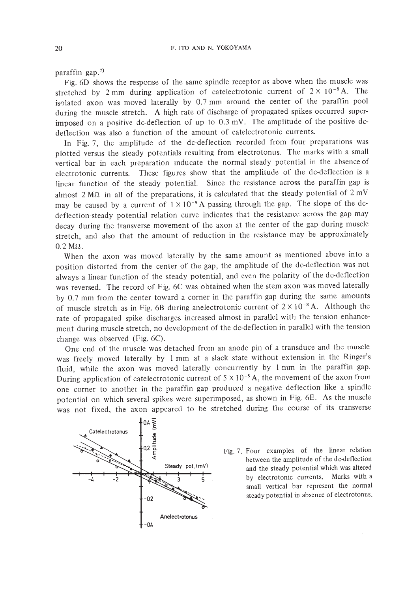paraffin gap. $7)$ 

Fig. 6D shows the response of the same spindle receptor as above when the muscle was stretched by 2 mm during application of catelectrotonic current of  $2 \times 10^{-8}$  A. The isolated axon was moved laterally by 0.7 mm around the center of the paraffin pool during the muscle stretch. A high rate of discharge of propagated spikes occurred superimposed on a positive dc-deflection of up to 0.3 mY. The amplitude of the positive dcdeflection was also a function of the amount of catelectrotonic currents.

In Fig. 7, the amplitude of the dc-deflection recorded from four preparations was plotted versus the steady potentials resulting from electrotonus. The marks with a small vertical bar in each preparation inducate the normal steady potential in the absence of electrotonic currents. These figures show that the amplitude of the dc-deflection is a linear function of the steady potential. Since the resistance across the paraffin gap is almost 2 M $\Omega$  in all of the preparations, it is calculated that the steady potential of 2 mV may be caused by a current of  $1 \times 10^{-9}$  A passing through the gap. The slope of the dcdeflection-steady potential relation curve indicates that the resistance across the gap may decay during the transverse movement of the axon at the center of the gap during muscle stretch, and also that the amount of reduction in the resistance may be approximately  $0.2 M\Omega$ .

When the axon was moved laterally by the same amount as mentioned above into a position distorted from the center of the gap, the amplitude of the dc-deflection was not always a linear function of the steady potential, and even the polarity of the dc-deflection was reversed. The record of Fig. 6C was obtained when the stem axon was moved laterally by 0.7 mm from the center toward a corner in the paraffin gap during the same amounts of muscle stretch as in Fig. 6B during anelectrotonic current of  $2 \times 10^{-8}$  A. Although the rate of propagated spike discharges increased almost in parallel with the tension enhancement during muscle stretch, no development of the dc-deflection in parallel with the tension change was observed (Fig. 6C).

One end of the muscle was detached from an anode pin of a transduce and the muscle was freely moved laterally by I mm at a slack state without extension in the Ringer's fluid, while the axon was moved laterally concurrently by I mm in the paraffin gap. During application of catelectrotonic current of  $5 \times 10^{-8}$  A, the movement of the axon from one corner to another in the paraffin gap produced a negative deflection like a spindle potential on which several spikes were superimposed, as shown in Fig. 6E. As the muscle was not fixed, the axon appeared to be stretched during the course of its transverse



Fig. 7. Four examples of the linear relation between the amplitude of the dc-deflection and the steady potential which was altered by electrotonic currents. Marks with a small vertical bar represent the normal steady potential in absence of electrotonus.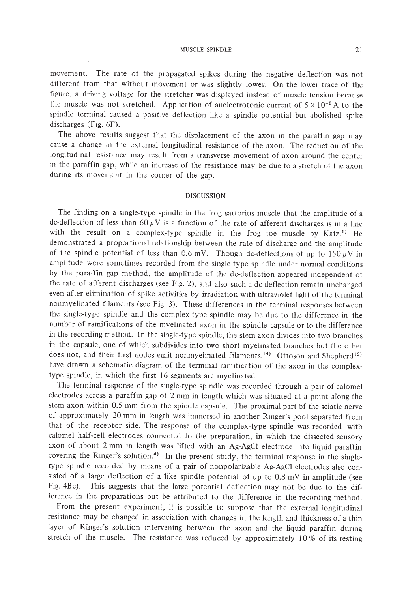#### MUSCLE SPINDLE 21

movement. The rate of the propagated spikes during the negative deflection was not different from that without movement or was slightly lower. On the lower trace of the figure, a driving voltage for the stretcher was displayed instead of muscle tension because the muscle was not stretched. Application of anelectrotonic current of  $5 \times 10^{-8}$  A to the spindle terminal caused a positive deflection like a spindle potential but abolished spike discharges (Fig. 6F).

The above results suggest that the displacement of the axon in the paraffin gap may cause a change in the external longitudinal resistance of the axon. The reduction of the longitudinal resistance may result from a transverse movement of axon around the center in the paraffin gap, while an increase of the resistance may be due to a stretch of the axon during its movement in the corner of the gap.

## DISCUSSION

The finding on a single-type spindle in the frog sartorius muscle that the amplitude of a dc-deflection of less than 60  $\mu$ V is a function of the rate of afferent discharges is in a line with the result on a complex-type spindle in the frog toe muscle by  $Katz^{1}$ . He demonstrated a proportional relationship between the rate of discharge and the amplitude of the spindle potential of less than 0.6 mV. Though dc-deflections of up to  $150 \mu$ V in amplitude were sometimes recorded from the single-type spindle under normal conditions by the paraffin gap method, the amplitude of the dc-deflection appeared independent of the rate of afferent discharges (see Fig. 2), and also such a dc-deflection remain unchanged even after elimination of spike activities by irradiation with ultraviolet light of the terminal nonmyelina ted filaments (see Fig. 3). These differences in the terminal responses between the single-type spindle and the complex-type spindle may be due to the difference in the number of ramifications of the myelinated axon in the spindle capsule or to the difference in the recording method. In the single-type spindle, the stem axon divides into two branches in the capsule, one of which subdivides into two short myelinated branches but the other does not, and their first nodes emit nonmyelinated filaments.<sup>14)</sup> Ottoson and Shepherd<sup>15)</sup> have drawn a schematic diagram of the terminal ramification of the axon in the complextype spindle, in which the first 16 segments are myelinated.

The terminal response of the single-type spindle was recorded through a pair of calomel electrodes across a paraffin gap of 2 mm in length which was situated at a point along the stem axon within 0.5 mm from the spindle capsule. The proximal part bf the sciatic nerve of approximately 20 mm in length was immersed in another Ringer's pool separated from that of the receptor side. The response of the complex-type spindle was recorded with calomel half-cell electrodes connected to the preparation, in which the dissected sensory axon of about 2 mm in length was lifted with an Ag-AgCI electrode into liquid paraffin covering the Ringer's solution.<sup>4)</sup> In the present study, the terminal response in the singletype spindle recorded by means of a pair of nonpolarizable Ag-AgCI electrodes also consisted of a large deflection of a like spindle potential of up to 0.8 mV in amplitude (see Fig. 4Bc). This suggests that the large potential deflection may not be due to the difference in the preparations but be attributed to the difference in the recording method.

From the present experiment, it is possible to suppose that the external longitudinal resistance may be changed in association with changes in the length and thickness of a thin layer of Ringer's solution intervening between the axon and the liquid paraffin during stretch of the muscle. The resistance was reduced by approximately 10% of its resting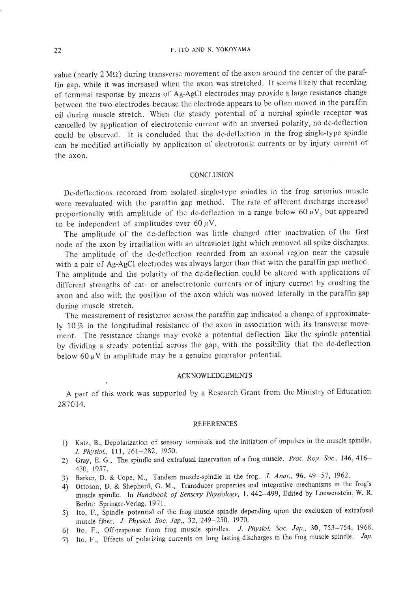value (nearly  $2 M\Omega$ ) during transverse movement of the axon around the center of the paraffin gap, while it was increased when the axon was stretched. It seems likely that recording of terminal response by means of Ag-AgCI electrodes may provide a large resistance change between the two electrodes because the electrode appears to be often moved in the paraffin oil during muscle stretch. When the steady potential of a normal spindle receptor was cancelled by application of electrotonic current with an inversed polarity, no dc-deflection could be observed. It is concluded that the dc-deflection in the frog single-type spindle can be modified artificially by application of electrotonic currents or by injury current of the axon.

## **CONCLUSION**

Dc-deflections recorded from isolated single-type spindles in the frog sartorius muscle were reevaluated with the paraffin gap method. The rate of afferent discharge increased proportionally with amplitude of the dc-deflection in a range below 60  $\mu$ V, but appeared to be independent of amplitudes over  $60 \mu V$ .

The amplitude of the dc-deflection was little changed after inactivation of the first node of the axon by irradiation with an ultraviolet light which removed all spike discharges.

The amplitude of the dc-deflection recorded from an axonal region near the capsule with a pair of Ag-AgCI electrodes was always larger than that with the paraffin gap method. The amplitude and the polarity of the dc-deflection could be altered with applications of different strengths of cat- or anelectrotonic currents or of injury curmet by crushing the axon and also with the position of the axon which was moved laterally in the paraffin gap during muscle stretch.

The measurement of resistance across the paraffin gap indicated a change of approximately 10% in the longitudinal resistance of the axon in association with its transverse movement. The resistance change may evoke a potential deflection like the spindle potential by dividing a steady potential across the gap, with the possibility that the dc-deflection below 60  $\mu$ V in amplitude may be a genuine generator potential.

## ACKNOWLEDGEMENTS

A part of this work was supported by a Research Grant from the Ministry of Education 287014.

### REFERENCES

- I) Katz, B., Depolarization of sensory terminals and the initiation of impulses in the muscle spindle. *J. Physiol.,* **Ill,** 261-282, 1950.
- 2) Gray, E. G., The spindle and extrafusal innervation of a frog muscle. *Proc. Roy. Soc.,* 146,416- 430, 1957.
- 3) Barker, D. & Cope, M., Tandem muscle-spindle in the frog. J. *Anat.,* 96, 49-57, 1962.
- 4) Ottoson, D. & Shepherd, G. M., Transducer properties and integrative mechanisms in the frog's muscle spindle. In *Handbook of Sensory Physiology,* I, 442-499, Edited by Loewenstein, W. R. Berlin: Springer.Verlag. 1971.
- 5) Ito, F., Spindle potential of the frog muscle spindle depending upon the exclusion of extrafusal muscle fiber. *J. Physiol. Soc. Jap.,* 32, 249-250, 1970.
- 6) Ito, F., Off·response from frog muscle spindles. *J. Physiol. Soc. Jap.,* 30, 753-754, 1968.
- 7) Ito, F., Effects of polarizing currents on long lasting discharges in the frog muscle spindle. *Jap.*